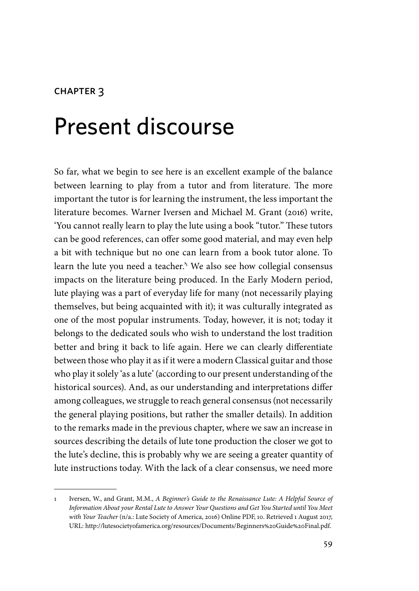#### **CHAPTER 3**

# Present discourse

So far, what we begin to see here is an excellent example of the balance between learning to play from a tutor and from literature. The more important the tutor is for learning the instrument, the less important the literature becomes. Warner Iversen and Michael M. Grant (2016) write, 'You cannot really learn to play the lute using a book "tutor." These tutors can be good references, can offer some good material, and may even help a bit with technique but no one can learn from a book tutor alone. To learn the lute you need a teacher.'1 We also see how collegial consensus impacts on the literature being produced. In the Early Modern period, lute playing was a part of everyday life for many (not necessarily playing themselves, but being acquainted with it); it was culturally integrated as one of the most popular instruments. Today, however, it is not; today it belongs to the dedicated souls who wish to understand the lost tradition better and bring it back to life again. Here we can clearly differentiate between those who play it as if it were a modern Classical guitar and those who play it solely 'as a lute' (according to our present understanding of the historical sources). And, as our understanding and interpretations differ among colleagues, we struggle to reach general consensus (not necessarily the general playing positions, but rather the smaller details). In addition to the remarks made in the previous chapter, where we saw an increase in sources describing the details of lute tone production the closer we got to the lute's decline, this is probably why we are seeing a greater quantity of lute instructions today. With the lack of a clear consensus, we need more

<sup>1</sup> Iversen, W., and Grant, M.M., *A Beginner's Guide to the Renaissance Lute: A Helpful Source of Information About your Rental Lute to Answer Your Questions and Get You Started until You Meet with Your Teacher* (n/a.: Lute Society of America, 2016) Online PDF, 10. Retrieved 1 August 2017, URL: http://lutesocietyofamerica.org/resources/Documents/Beginners%20Guide%20Final.pdf.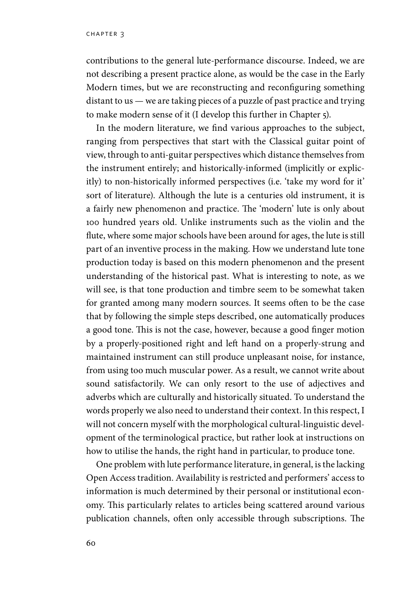contributions to the general lute-performance discourse. Indeed, we are not describing a present practice alone, as would be the case in the Early Modern times, but we are reconstructing and reconfiguring something distant to us — we are taking pieces of a puzzle of past practice and trying to make modern sense of it (I develop this further in Chapter 5).

In the modern literature, we find various approaches to the subject, ranging from perspectives that start with the Classical guitar point of view, through to anti-guitar perspectives which distance themselves from the instrument entirely; and historically-informed (implicitly or explicitly) to non-historically informed perspectives (i.e. 'take my word for it' sort of literature). Although the lute is a centuries old instrument, it is a fairly new phenomenon and practice. The 'modern' lute is only about 100 hundred years old. Unlike instruments such as the violin and the flute, where some major schools have been around for ages, the lute is still part of an inventive process in the making. How we understand lute tone production today is based on this modern phenomenon and the present understanding of the historical past. What is interesting to note, as we will see, is that tone production and timbre seem to be somewhat taken for granted among many modern sources. It seems often to be the case that by following the simple steps described, one automatically produces a good tone. This is not the case, however, because a good finger motion by a properly-positioned right and left hand on a properly-strung and maintained instrument can still produce unpleasant noise, for instance, from using too much muscular power. As a result, we cannot write about sound satisfactorily. We can only resort to the use of adjectives and adverbs which are culturally and historically situated. To understand the words properly we also need to understand their context. In this respect, I will not concern myself with the morphological cultural-linguistic development of the terminological practice, but rather look at instructions on how to utilise the hands, the right hand in particular, to produce tone.

One problem with lute performance literature, in general, is the lacking Open Access tradition. Availability is restricted and performers' access to information is much determined by their personal or institutional economy. This particularly relates to articles being scattered around various publication channels, often only accessible through subscriptions. The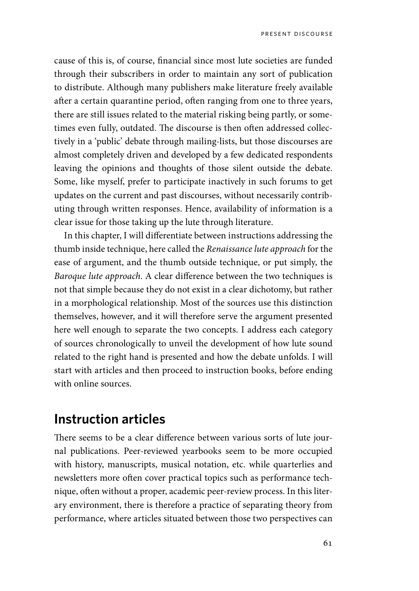cause of this is, of course, financial since most lute societies are funded through their subscribers in order to maintain any sort of publication to distribute. Although many publishers make literature freely available after a certain quarantine period, often ranging from one to three years, there are still issues related to the material risking being partly, or sometimes even fully, outdated. The discourse is then often addressed collectively in a 'public' debate through mailing-lists, but those discourses are almost completely driven and developed by a few dedicated respondents leaving the opinions and thoughts of those silent outside the debate. Some, like myself, prefer to participate inactively in such forums to get updates on the current and past discourses, without necessarily contributing through written responses. Hence, availability of information is a clear issue for those taking up the lute through literature.

In this chapter, I will differentiate between instructions addressing the thumb inside technique, here called the *Renaissance lute approach* for the ease of argument, and the thumb outside technique, or put simply, the *Baroque lute approach*. A clear difference between the two techniques is not that simple because they do not exist in a clear dichotomy, but rather in a morphological relationship. Most of the sources use this distinction themselves, however, and it will therefore serve the argument presented here well enough to separate the two concepts. I address each category of sources chronologically to unveil the development of how lute sound related to the right hand is presented and how the debate unfolds. I will start with articles and then proceed to instruction books, before ending with online sources.

# **Instruction articles**

There seems to be a clear difference between various sorts of lute journal publications. Peer-reviewed yearbooks seem to be more occupied with history, manuscripts, musical notation, etc. while quarterlies and newsletters more often cover practical topics such as performance technique, often without a proper, academic peer-review process. In this literary environment, there is therefore a practice of separating theory from performance, where articles situated between those two perspectives can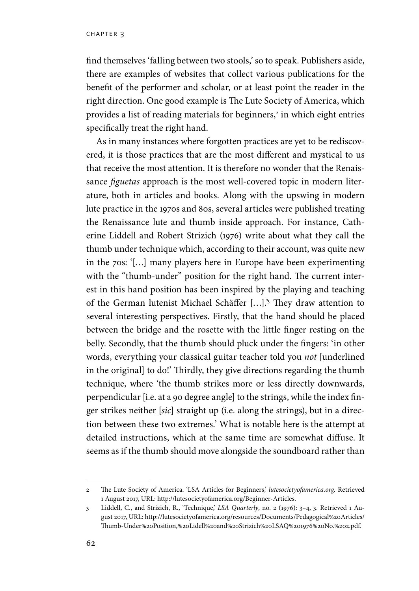find themselves 'falling between two stools,' so to speak. Publishers aside, there are examples of websites that collect various publications for the benefit of the performer and scholar, or at least point the reader in the right direction. One good example is The Lute Society of America, which provides a list of reading materials for beginners,<sup>2</sup> in which eight entries specifically treat the right hand.

As in many instances where forgotten practices are yet to be rediscovered, it is those practices that are the most different and mystical to us that receive the most attention. It is therefore no wonder that the Renaissance *figuetas* approach is the most well-covered topic in modern literature, both in articles and books. Along with the upswing in modern lute practice in the 1970s and 80s, several articles were published treating the Renaissance lute and thumb inside approach. For instance, Catherine Liddell and Robert Strizich (1976) write about what they call the thumb under technique which, according to their account, was quite new in the 70s: '[…] many players here in Europe have been experimenting with the "thumb-under" position for the right hand. The current interest in this hand position has been inspired by the playing and teaching of the German lutenist Michael Schäffer […].'3 They draw attention to several interesting perspectives. Firstly, that the hand should be placed between the bridge and the rosette with the little finger resting on the belly. Secondly, that the thumb should pluck under the fingers: 'in other words, everything your classical guitar teacher told you *not* [underlined in the original] to do!' Thirdly, they give directions regarding the thumb technique, where 'the thumb strikes more or less directly downwards, perpendicular [i.e. at a 90 degree angle] to the strings, while the index finger strikes neither [*sic*] straight up (i.e. along the strings), but in a direction between these two extremes.' What is notable here is the attempt at detailed instructions, which at the same time are somewhat diffuse. It seems as if the thumb should move alongside the soundboard rather than

<sup>2</sup> The Lute Society of America. 'LSA Articles for Beginners,' *lutesocietyofamerica.org.* Retrieved 1 August 2017, URL: http://lutesocietyofamerica.org/Beginner-Articles.

<sup>3</sup> Liddell, C., and Strizich, R., 'Technique,' *LSA Quarterly*, no. 2 (1976): 3–4, 3. Retrieved 1 August 2017, URL: http://lutesocietyofamerica.org/resources/Documents/Pedagogical%20Articles/ Thumb-Under%20Position,%20Lidell%20and%20Strizich%20LSAQ%201976%20No.%202.pdf.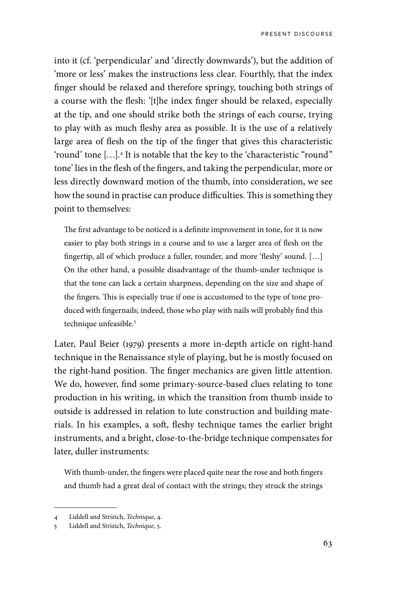into it (cf. 'perpendicular' and 'directly downwards'), but the addition of 'more or less' makes the instructions less clear. Fourthly, that the index finger should be relaxed and therefore springy, touching both strings of a course with the flesh: '[t]he index finger should be relaxed, especially at the tip, and one should strike both the strings of each course, trying to play with as much fleshy area as possible. It is the use of a relatively large area of flesh on the tip of the finger that gives this characteristic 'round' tone […].4 It is notable that the key to the 'characteristic "round" tone' lies in the flesh of the fingers, and taking the perpendicular, more or less directly downward motion of the thumb, into consideration, we see how the sound in practise can produce difficulties. This is something they point to themselves:

The first advantage to be noticed is a definite improvement in tone, for it is now easier to play both strings in a course and to use a larger area of flesh on the fingertip, all of which produce a fuller, rounder, and more 'fleshy' sound. […] On the other hand, a possible disadvantage of the thumb-under technique is that the tone can lack a certain sharpness, depending on the size and shape of the fingers. This is especially true if one is accustomed to the type of tone produced with fingernails; indeed, those who play with nails will probably find this technique unfeasible.<sup>5</sup>

Later, Paul Beier (1979) presents a more in-depth article on right-hand technique in the Renaissance style of playing, but he is mostly focused on the right-hand position. The finger mechanics are given little attention. We do, however, find some primary-source-based clues relating to tone production in his writing, in which the transition from thumb inside to outside is addressed in relation to lute construction and building materials. In his examples, a soft, fleshy technique tames the earlier bright instruments, and a bright, close-to-the-bridge technique compensates for later, duller instruments:

With thumb-under, the fingers were placed quite near the rose and both fingers and thumb had a great deal of contact with the strings; they struck the strings

<sup>4</sup> Liddell and Strizich, *Technique*, 4.

<sup>5</sup> Liddell and Strizich, *Technique*, 5.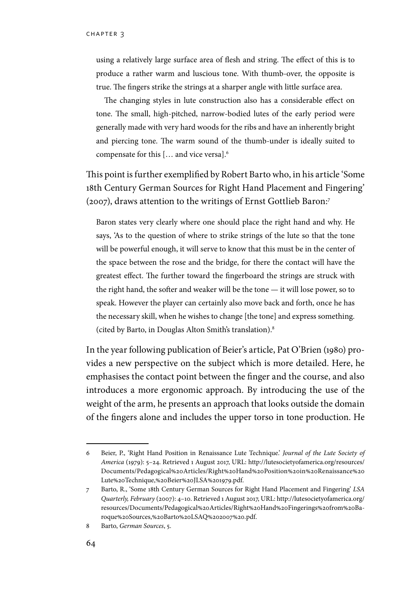using a relatively large surface area of flesh and string. The effect of this is to produce a rather warm and luscious tone. With thumb-over, the opposite is true. The fingers strike the strings at a sharper angle with little surface area.

The changing styles in lute construction also has a considerable effect on tone. The small, high-pitched, narrow-bodied lutes of the early period were generally made with very hard woods for the ribs and have an inherently bright and piercing tone. The warm sound of the thumb-under is ideally suited to compensate for this [… and vice versa].6

This point is further exemplified by Robert Barto who, in his article 'Some 18th Century German Sources for Right Hand Placement and Fingering' (2007), draws attention to the writings of Ernst Gottlieb Baron:7

Baron states very clearly where one should place the right hand and why. He says, 'As to the question of where to strike strings of the lute so that the tone will be powerful enough, it will serve to know that this must be in the center of the space between the rose and the bridge, for there the contact will have the greatest effect. The further toward the fingerboard the strings are struck with the right hand, the softer and weaker will be the tone — it will lose power, so to speak. However the player can certainly also move back and forth, once he has the necessary skill, when he wishes to change [the tone] and express something. (cited by Barto, in Douglas Alton Smith's translation).8

In the year following publication of Beier's article, Pat O'Brien (1980) provides a new perspective on the subject which is more detailed. Here, he emphasises the contact point between the finger and the course, and also introduces a more ergonomic approach. By introducing the use of the weight of the arm, he presents an approach that looks outside the domain of the fingers alone and includes the upper torso in tone production. He

<sup>6</sup> Beier, P., 'Right Hand Position in Renaissance Lute Technique.' *Journal of the Lute Society of America* (1979): 5–24. Retrieved 1 August 2017, URL: http://lutesocietyofamerica.org/resources/ Documents/Pedagogical%20Articles/Right%20Hand%20Position%20in%20Renaissance%20 Lute%20Technique,%20Beier%20JLSA%201979.pdf.

<sup>7</sup> Barto, R., 'Some 18th Century German Sources for Right Hand Placement and Fingering' *LSA Quarterly, February* (2007): 4–10. Retrieved 1 August 2017, URL: http://lutesocietyofamerica.org/ resources/Documents/Pedagogical%20Articles/Right%20Hand%20Fingerings%20from%20Baroque%20Sources,%20Barto%20LSAQ%202007%20.pdf.

<sup>8</sup> Barto, *German Sources*, 5.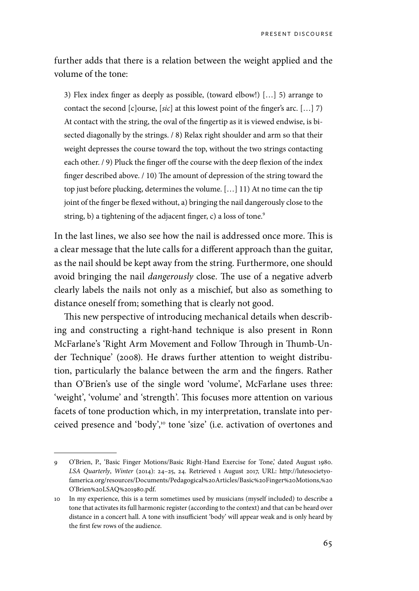further adds that there is a relation between the weight applied and the volume of the tone:

3) Flex index finger as deeply as possible, (toward elbow!) […] 5) arrange to contact the second [c]ourse, [*sic*] at this lowest point of the finger's arc. […] 7) At contact with the string, the oval of the fingertip as it is viewed endwise, is bisected diagonally by the strings. / 8) Relax right shoulder and arm so that their weight depresses the course toward the top, without the two strings contacting each other. / 9) Pluck the finger off the course with the deep flexion of the index finger described above. / 10) The amount of depression of the string toward the top just before plucking, determines the volume. […] 11) At no time can the tip joint of the finger be flexed without, a) bringing the nail dangerously close to the string, b) a tightening of the adjacent finger, c) a loss of tone.<sup>9</sup>

In the last lines, we also see how the nail is addressed once more. This is a clear message that the lute calls for a different approach than the guitar, as the nail should be kept away from the string. Furthermore, one should avoid bringing the nail *dangerously* close. The use of a negative adverb clearly labels the nails not only as a mischief, but also as something to distance oneself from; something that is clearly not good.

This new perspective of introducing mechanical details when describing and constructing a right-hand technique is also present in Ronn McFarlane's 'Right Arm Movement and Follow Through in Thumb-Under Technique' (2008). He draws further attention to weight distribution, particularly the balance between the arm and the fingers. Rather than O'Brien's use of the single word 'volume', McFarlane uses three: 'weight', 'volume' and 'strength'. This focuses more attention on various facets of tone production which, in my interpretation, translate into perceived presence and 'body',<sup>10</sup> tone 'size' (i.e. activation of overtones and

<sup>9</sup> O'Brien, P., 'Basic Finger Motions/Basic Right-Hand Exercise for Tone,' dated August 1980. *LSA Quarterly*, *Winter* (2014): 24–25, 24. Retrieved 1 August 2017, URL: http://lutesocietyofamerica.org/resources/Documents/Pedagogical%20Articles/Basic%20Finger%20Motions,%20 O'Brien%20LSAQ%201980.pdf.

<sup>10</sup> In my experience, this is a term sometimes used by musicians (myself included) to describe a tone that activates its full harmonic register (according to the context) and that can be heard over distance in a concert hall. A tone with insufficient 'body' will appear weak and is only heard by the first few rows of the audience.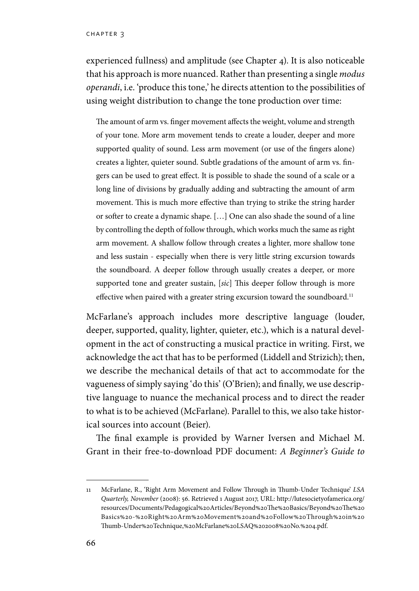experienced fullness) and amplitude (see Chapter 4). It is also noticeable that his approach is more nuanced. Rather than presenting a single *modus operandi*, i.e. 'produce this tone,' he directs attention to the possibilities of using weight distribution to change the tone production over time:

The amount of arm vs. finger movement affects the weight, volume and strength of your tone. More arm movement tends to create a louder, deeper and more supported quality of sound. Less arm movement (or use of the fingers alone) creates a lighter, quieter sound. Subtle gradations of the amount of arm vs. fingers can be used to great effect. It is possible to shade the sound of a scale or a long line of divisions by gradually adding and subtracting the amount of arm movement. This is much more effective than trying to strike the string harder or softer to create a dynamic shape. […] One can also shade the sound of a line by controlling the depth of follow through, which works much the same as right arm movement. A shallow follow through creates a lighter, more shallow tone and less sustain - especially when there is very little string excursion towards the soundboard. A deeper follow through usually creates a deeper, or more supported tone and greater sustain, [*sic*] This deeper follow through is more effective when paired with a greater string excursion toward the soundboard.<sup>11</sup>

McFarlane's approach includes more descriptive language (louder, deeper, supported, quality, lighter, quieter, etc.), which is a natural development in the act of constructing a musical practice in writing. First, we acknowledge the act that has to be performed (Liddell and Strizich); then, we describe the mechanical details of that act to accommodate for the vagueness of simply saying 'do this' (O'Brien); and finally, we use descriptive language to nuance the mechanical process and to direct the reader to what is to be achieved (McFarlane). Parallel to this, we also take historical sources into account (Beier).

The final example is provided by Warner Iversen and Michael M. Grant in their free-to-download PDF document: *A Beginner's Guide to* 

<sup>11</sup> McFarlane, R., 'Right Arm Movement and Follow Through in Thumb-Under Technique' *LSA Quarterly, November* (2008): 56. Retrieved 1 August 2017, URL: http://lutesocietyofamerica.org/ resources/Documents/Pedagogical%20Articles/Beyond%20The%20Basics/Beyond%20The%20 Basics%20-%20Right%20Arm%20Movement%20and%20Follow%20Through%20in%20 Thumb-Under%20Technique,%20McFarlane%20LSAQ%202008%20No.%204.pdf.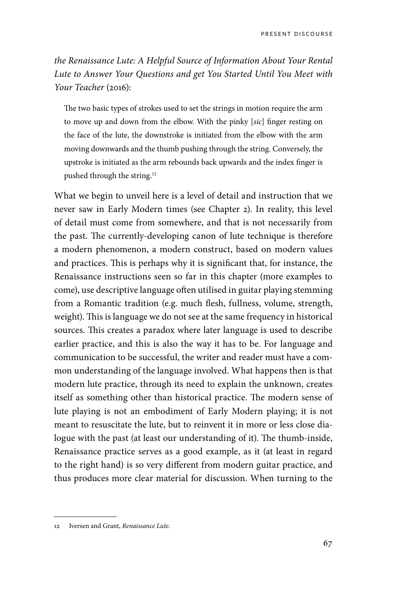*the Renaissance Lute: A Helpful Source of Information About Your Rental Lute to Answer Your Questions and get You Started Until You Meet with Your Teacher* (2016):

The two basic types of strokes used to set the strings in motion require the arm to move up and down from the elbow. With the pinky [*sic*] finger resting on the face of the lute, the downstroke is initiated from the elbow with the arm moving downwards and the thumb pushing through the string. Conversely, the upstroke is initiated as the arm rebounds back upwards and the index finger is pushed through the string.12

What we begin to unveil here is a level of detail and instruction that we never saw in Early Modern times (see Chapter 2). In reality, this level of detail must come from somewhere, and that is not necessarily from the past. The currently-developing canon of lute technique is therefore a modern phenomenon, a modern construct, based on modern values and practices. This is perhaps why it is significant that, for instance, the Renaissance instructions seen so far in this chapter (more examples to come), use descriptive language often utilised in guitar playing stemming from a Romantic tradition (e.g. much flesh, fullness, volume, strength, weight). This is language we do not see at the same frequency in historical sources. This creates a paradox where later language is used to describe earlier practice, and this is also the way it has to be. For language and communication to be successful, the writer and reader must have a common understanding of the language involved. What happens then is that modern lute practice, through its need to explain the unknown, creates itself as something other than historical practice. The modern sense of lute playing is not an embodiment of Early Modern playing; it is not meant to resuscitate the lute, but to reinvent it in more or less close dialogue with the past (at least our understanding of it). The thumb-inside, Renaissance practice serves as a good example, as it (at least in regard to the right hand) is so very different from modern guitar practice, and thus produces more clear material for discussion. When turning to the

<sup>12</sup> Iversen and Grant, *Renaissance Lute*.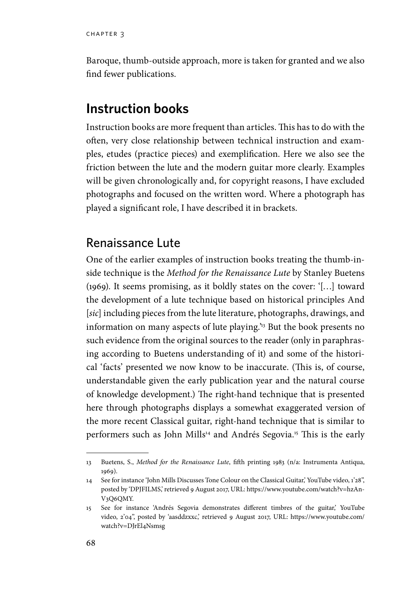Baroque, thumb-outside approach, more is taken for granted and we also find fewer publications.

# **Instruction books**

Instruction books are more frequent than articles. This has to do with the often, very close relationship between technical instruction and examples, etudes (practice pieces) and exemplification. Here we also see the friction between the lute and the modern guitar more clearly. Examples will be given chronologically and, for copyright reasons, I have excluded photographs and focused on the written word. Where a photograph has played a significant role, I have described it in brackets.

#### Renaissance Lute

One of the earlier examples of instruction books treating the thumb-inside technique is the *Method for the Renaissance Lute* by Stanley Buetens (1969). It seems promising, as it boldly states on the cover: '[…] toward the development of a lute technique based on historical principles And [*sic*] including pieces from the lute literature, photographs, drawings, and information on many aspects of lute playing.'13 But the book presents no such evidence from the original sources to the reader (only in paraphrasing according to Buetens understanding of it) and some of the historical 'facts' presented we now know to be inaccurate. (This is, of course, understandable given the early publication year and the natural course of knowledge development.) The right-hand technique that is presented here through photographs displays a somewhat exaggerated version of the more recent Classical guitar, right-hand technique that is similar to performers such as John Mills<sup>14</sup> and Andrés Segovia.<sup>15</sup> This is the early

<sup>13</sup> Buetens, S., *Method for the Renaissance Lute*, fifth printing 1983 (n/a: Instrumenta Antiqua, 1969).

<sup>14</sup> See for instance 'John Mills Discusses Tone Colour on the Classical Guitar,' YouTube video, 1'28'', posted by 'DPJFILMS,' retrieved 9 August 2017, URL: https://www.youtube.com/watch?v=hzAn-V3Q6QMY.

<sup>15</sup> See for instance 'Andrés Segovia demonstrates different timbres of the guitar,' YouTube video, 2'04'', posted by 'aasddzxxc,' retrieved 9 August 2017, URL: https://www.youtube.com/ watch?v=DJrEl4Nsmsg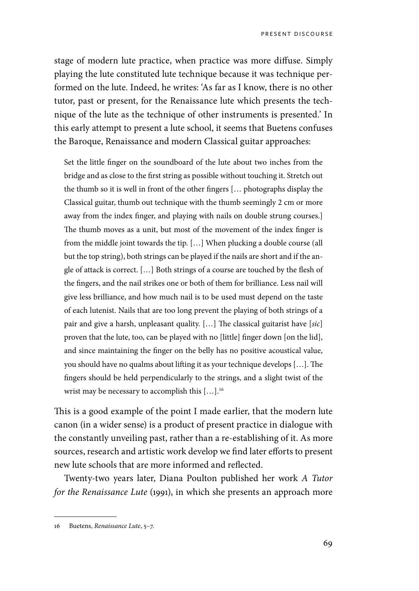stage of modern lute practice, when practice was more diffuse. Simply playing the lute constituted lute technique because it was technique performed on the lute. Indeed, he writes: 'As far as I know, there is no other tutor, past or present, for the Renaissance lute which presents the technique of the lute as the technique of other instruments is presented.' In this early attempt to present a lute school, it seems that Buetens confuses the Baroque, Renaissance and modern Classical guitar approaches:

Set the little finger on the soundboard of the lute about two inches from the bridge and as close to the first string as possible without touching it. Stretch out the thumb so it is well in front of the other fingers [… photographs display the Classical guitar, thumb out technique with the thumb seemingly 2 cm or more away from the index finger, and playing with nails on double strung courses.] The thumb moves as a unit, but most of the movement of the index finger is from the middle joint towards the tip. […] When plucking a double course (all but the top string), both strings can be played if the nails are short and if the angle of attack is correct. […] Both strings of a course are touched by the flesh of the fingers, and the nail strikes one or both of them for brilliance. Less nail will give less brilliance, and how much nail is to be used must depend on the taste of each lutenist. Nails that are too long prevent the playing of both strings of a pair and give a harsh, unpleasant quality. […] The classical guitarist have [*sic*] proven that the lute, too, can be played with no [little] finger down [on the lid], and since maintaining the finger on the belly has no positive acoustical value, you should have no qualms about lifting it as your technique develops […]. The fingers should be held perpendicularly to the strings, and a slight twist of the wrist may be necessary to accomplish this [...].<sup>16</sup>

This is a good example of the point I made earlier, that the modern lute canon (in a wider sense) is a product of present practice in dialogue with the constantly unveiling past, rather than a re-establishing of it. As more sources, research and artistic work develop we find later efforts to present new lute schools that are more informed and reflected.

Twenty-two years later, Diana Poulton published her work *A Tutor for the Renaissance Lute* (1991), in which she presents an approach more

<sup>16</sup> Buetens, *Renaissance Lute*, 5–7.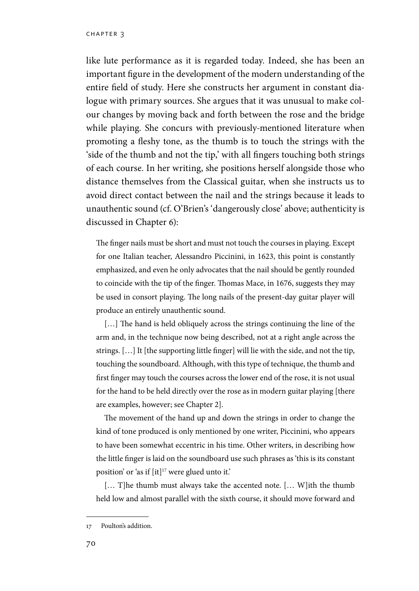like lute performance as it is regarded today. Indeed, she has been an important figure in the development of the modern understanding of the entire field of study. Here she constructs her argument in constant dialogue with primary sources. She argues that it was unusual to make colour changes by moving back and forth between the rose and the bridge while playing. She concurs with previously-mentioned literature when promoting a fleshy tone, as the thumb is to touch the strings with the 'side of the thumb and not the tip,' with all fingers touching both strings of each course. In her writing, she positions herself alongside those who distance themselves from the Classical guitar, when she instructs us to avoid direct contact between the nail and the strings because it leads to unauthentic sound (cf. O'Brien's 'dangerously close' above; authenticity is discussed in Chapter 6):

The finger nails must be short and must not touch the courses in playing. Except for one Italian teacher, Alessandro Piccinini, in 1623, this point is constantly emphasized, and even he only advocates that the nail should be gently rounded to coincide with the tip of the finger. Thomas Mace, in 1676, suggests they may be used in consort playing. The long nails of the present-day guitar player will produce an entirely unauthentic sound.

[...] The hand is held obliquely across the strings continuing the line of the arm and, in the technique now being described, not at a right angle across the strings. […] It [the supporting little finger] will lie with the side, and not the tip, touching the soundboard. Although, with this type of technique, the thumb and first finger may touch the courses across the lower end of the rose, it is not usual for the hand to be held directly over the rose as in modern guitar playing [there are examples, however; see Chapter 2].

The movement of the hand up and down the strings in order to change the kind of tone produced is only mentioned by one writer, Piccinini, who appears to have been somewhat eccentric in his time. Other writers, in describing how the little finger is laid on the soundboard use such phrases as 'this is its constant position' or 'as if [it]<sup>17</sup> were glued unto it.'

[… T]he thumb must always take the accented note. [… W]ith the thumb held low and almost parallel with the sixth course, it should move forward and

<sup>17</sup> Poulton's addition.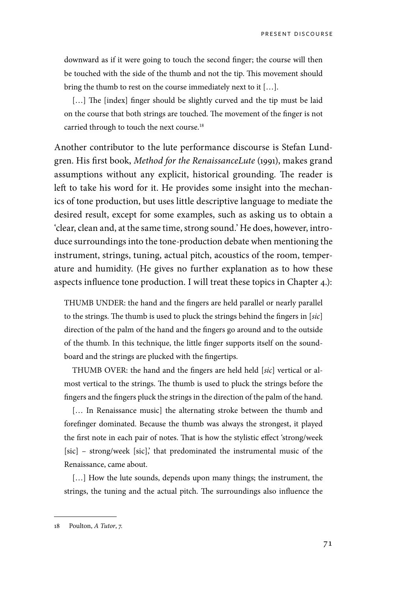downward as if it were going to touch the second finger; the course will then be touched with the side of the thumb and not the tip. This movement should bring the thumb to rest on the course immediately next to it […].

[...] The [index] finger should be slightly curved and the tip must be laid on the course that both strings are touched. The movement of the finger is not carried through to touch the next course.<sup>18</sup>

Another contributor to the lute performance discourse is Stefan Lundgren. His first book, *Method for the RenaissanceLute* (1991), makes grand assumptions without any explicit, historical grounding. The reader is left to take his word for it. He provides some insight into the mechanics of tone production, but uses little descriptive language to mediate the desired result, except for some examples, such as asking us to obtain a 'clear, clean and, at the same time, strong sound.' He does, however, introduce surroundings into the tone-production debate when mentioning the instrument, strings, tuning, actual pitch, acoustics of the room, temperature and humidity. (He gives no further explanation as to how these aspects influence tone production. I will treat these topics in Chapter 4.):

THUMB UNDER: the hand and the fingers are held parallel or nearly parallel to the strings. The thumb is used to pluck the strings behind the fingers in [*sic*] direction of the palm of the hand and the fingers go around and to the outside of the thumb. In this technique, the little finger supports itself on the soundboard and the strings are plucked with the fingertips.

THUMB OVER: the hand and the fingers are held held [*sic*] vertical or almost vertical to the strings. The thumb is used to pluck the strings before the fingers and the fingers pluck the strings in the direction of the palm of the hand.

[... In Renaissance music] the alternating stroke between the thumb and forefinger dominated. Because the thumb was always the strongest, it played the first note in each pair of notes. That is how the stylistic effect 'strong/week [sic] - strong/week [sic],' that predominated the instrumental music of the Renaissance, came about.

[...] How the lute sounds, depends upon many things; the instrument, the strings, the tuning and the actual pitch. The surroundings also influence the

<sup>18</sup> Poulton, *A Tutor*, 7.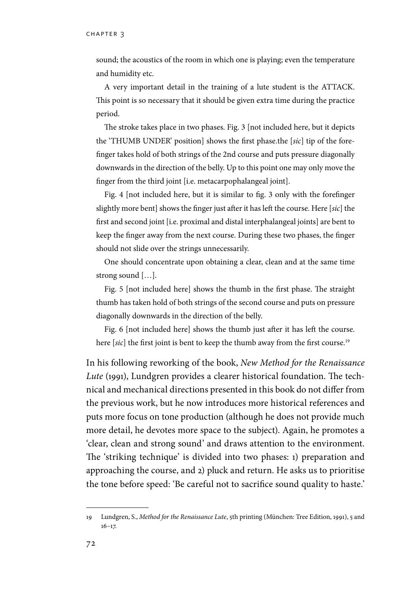sound; the acoustics of the room in which one is playing; even the temperature and humidity etc.

A very important detail in the training of a lute student is the ATTACK. This point is so necessary that it should be given extra time during the practice period.

The stroke takes place in two phases. Fig. 3 [not included here, but it depicts the 'THUMB UNDER' position] shows the first phase.the [*sic*] tip of the forefinger takes hold of both strings of the 2nd course and puts pressure diagonally downwards in the direction of the belly. Up to this point one may only move the finger from the third joint [i.e. metacarpophalangeal joint].

Fig. 4 [not included here, but it is similar to fig. 3 only with the forefinger slightly more bent] shows the finger just after it has left the course. Here [*sic*] the first and second joint [i.e. proximal and distal interphalangeal joints] are bent to keep the finger away from the next course. During these two phases, the finger should not slide over the strings unnecessarily.

One should concentrate upon obtaining a clear, clean and at the same time strong sound […].

Fig. 5 [not included here] shows the thumb in the first phase. The straight thumb has taken hold of both strings of the second course and puts on pressure diagonally downwards in the direction of the belly.

Fig. 6 [not included here] shows the thumb just after it has left the course. here [sic] the first joint is bent to keep the thumb away from the first course.<sup>19</sup>

In his following reworking of the book, *New Method for the Renaissance Lute* (1991), Lundgren provides a clearer historical foundation. The technical and mechanical directions presented in this book do not differ from the previous work, but he now introduces more historical references and puts more focus on tone production (although he does not provide much more detail, he devotes more space to the subject). Again, he promotes a 'clear, clean and strong sound' and draws attention to the environment. The 'striking technique' is divided into two phases: 1) preparation and approaching the course, and 2) pluck and return. He asks us to prioritise the tone before speed: 'Be careful not to sacrifice sound quality to haste.'

<sup>19</sup> Lundgren, S., *Method for the Renaissance Lute*, 5th printing (München: Tree Edition, 1991), 5 and 16–17.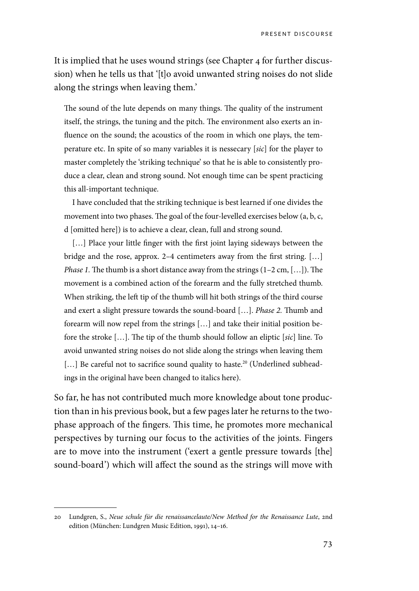It is implied that he uses wound strings (see Chapter 4 for further discussion) when he tells us that '[t]o avoid unwanted string noises do not slide along the strings when leaving them.'

The sound of the lute depends on many things. The quality of the instrument itself, the strings, the tuning and the pitch. The environment also exerts an influence on the sound; the acoustics of the room in which one plays, the temperature etc. In spite of so many variables it is nessecary [*sic*] for the player to master completely the 'striking technique' so that he is able to consistently produce a clear, clean and strong sound. Not enough time can be spent practicing this all-important technique.

I have concluded that the striking technique is best learned if one divides the movement into two phases. The goal of the four-levelled exercises below (a, b, c, d [omitted here]) is to achieve a clear, clean, full and strong sound.

[...] Place your little finger with the first joint laying sideways between the bridge and the rose, approx. 2–4 centimeters away from the first string. […] *Phase 1.* The thumb is a short distance away from the strings (1–2 cm, […]). The movement is a combined action of the forearm and the fully stretched thumb. When striking, the left tip of the thumb will hit both strings of the third course and exert a slight pressure towards the sound-board […]. *Phase 2.* Thumb and forearm will now repel from the strings […] and take their initial position before the stroke […]. The tip of the thumb should follow an eliptic [*sic*] line. To avoid unwanted string noises do not slide along the strings when leaving them [...] Be careful not to sacrifice sound quality to haste.<sup>20</sup> (Underlined subheadings in the original have been changed to italics here).

So far, he has not contributed much more knowledge about tone production than in his previous book, but a few pages later he returns to the twophase approach of the fingers. This time, he promotes more mechanical perspectives by turning our focus to the activities of the joints. Fingers are to move into the instrument ('exert a gentle pressure towards [the] sound-board') which will affect the sound as the strings will move with

<sup>20</sup> Lundgren, S., *Neue schule für die renaissancelaute/New Method for the Renaissance Lute*, 2nd edition (München: Lundgren Music Edition, 1991), 14–16.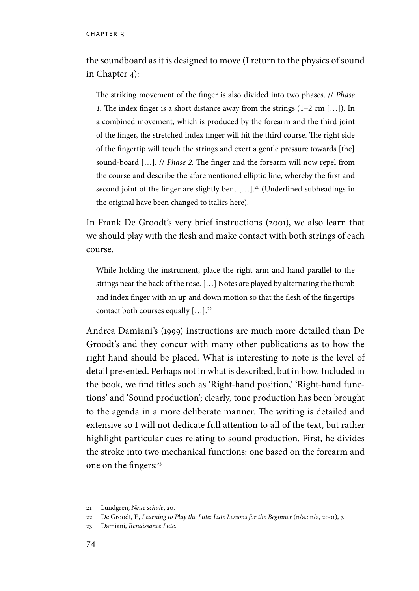the soundboard as it is designed to move (I return to the physics of sound in Chapter 4):

The striking movement of the finger is also divided into two phases. // *Phase 1.* The index finger is a short distance away from the strings (1–2 cm […]). In a combined movement, which is produced by the forearm and the third joint of the finger, the stretched index finger will hit the third course. The right side of the fingertip will touch the strings and exert a gentle pressure towards [the] sound-board […]. // *Phase 2.* The finger and the forearm will now repel from the course and describe the aforementioned elliptic line, whereby the first and second joint of the finger are slightly bent  $[...]$ <sup>21</sup> (Underlined subheadings in the original have been changed to italics here).

In Frank De Groodt's very brief instructions (2001), we also learn that we should play with the flesh and make contact with both strings of each course.

While holding the instrument, place the right arm and hand parallel to the strings near the back of the rose. […] Notes are played by alternating the thumb and index finger with an up and down motion so that the flesh of the fingertips contact both courses equally […].22

Andrea Damiani's (1999) instructions are much more detailed than De Groodt's and they concur with many other publications as to how the right hand should be placed. What is interesting to note is the level of detail presented. Perhaps not in what is described, but in how. Included in the book, we find titles such as 'Right-hand position,' 'Right-hand functions' and 'Sound production'; clearly, tone production has been brought to the agenda in a more deliberate manner. The writing is detailed and extensive so I will not dedicate full attention to all of the text, but rather highlight particular cues relating to sound production. First, he divides the stroke into two mechanical functions: one based on the forearm and one on the fingers:<sup>23</sup>

<sup>21</sup> Lundgren, *Neue schule*, 20.

<sup>22</sup> De Groodt, F., *Learning to Play the Lute: Lute Lessons for the Beginner* (n/a.: n/a, 2001), 7.

<sup>23</sup> Damiani, *Renaissance Lute*.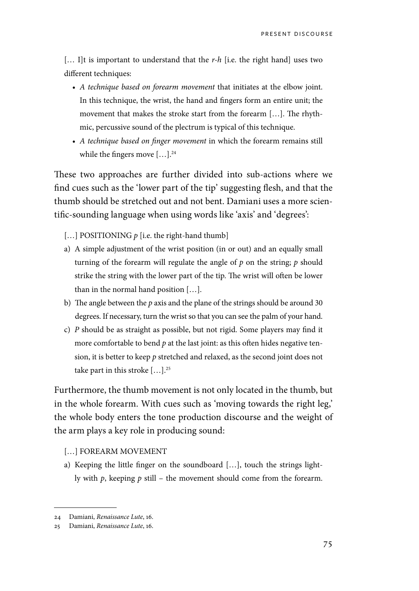[… I]t is important to understand that the *r-h* [i.e. the right hand] uses two different techniques:

- • *A technique based on forearm movement* that initiates at the elbow joint. In this technique, the wrist, the hand and fingers form an entire unit; the movement that makes the stroke start from the forearm […]. The rhythmic, percussive sound of the plectrum is typical of this technique.
- • *A technique based on finger movement* in which the forearm remains still while the fingers move [...].<sup>24</sup>

These two approaches are further divided into sub-actions where we find cues such as the 'lower part of the tip' suggesting flesh, and that the thumb should be stretched out and not bent. Damiani uses a more scientific-sounding language when using words like 'axis' and 'degrees':

- [...] POSITIONING  $p$  [i.e. the right-hand thumb]
- a) A simple adjustment of the wrist position (in or out) and an equally small turning of the forearm will regulate the angle of *p* on the string; *p* should strike the string with the lower part of the tip. The wrist will often be lower than in the normal hand position […].
- b) The angle between the *p* axis and the plane of the strings should be around 30 degrees. If necessary, turn the wrist so that you can see the palm of your hand.
- c) *P* should be as straight as possible, but not rigid. Some players may find it more comfortable to bend *p* at the last joint: as this often hides negative tension, it is better to keep *p* stretched and relaxed, as the second joint does not take part in this stroke [...].<sup>25</sup>

Furthermore, the thumb movement is not only located in the thumb, but in the whole forearm. With cues such as 'moving towards the right leg,' the whole body enters the tone production discourse and the weight of the arm plays a key role in producing sound:

- […] FOREARM MOVEMENT
- a) Keeping the little finger on the soundboard […], touch the strings lightly with *p*, keeping *p* still – the movement should come from the forearm.

<sup>24</sup> Damiani, *Renaissance Lute*, 16.

<sup>25</sup> Damiani, *Renaissance Lute*, 16.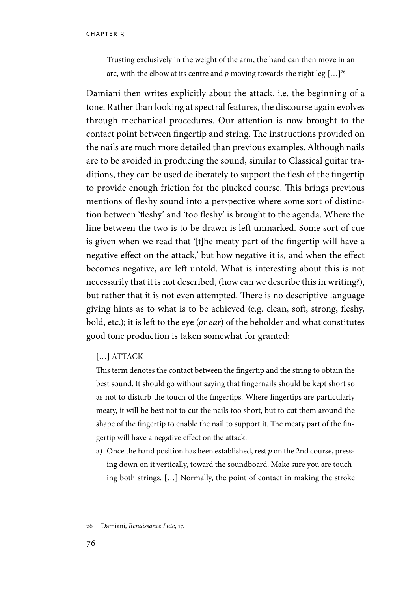Trusting exclusively in the weight of the arm, the hand can then move in an arc, with the elbow at its centre and  $p$  moving towards the right leg  $[\dots]^{26}$ 

Damiani then writes explicitly about the attack, i.e. the beginning of a tone. Rather than looking at spectral features, the discourse again evolves through mechanical procedures. Our attention is now brought to the contact point between fingertip and string. The instructions provided on the nails are much more detailed than previous examples. Although nails are to be avoided in producing the sound, similar to Classical guitar traditions, they can be used deliberately to support the flesh of the fingertip to provide enough friction for the plucked course. This brings previous mentions of fleshy sound into a perspective where some sort of distinction between 'fleshy' and 'too fleshy' is brought to the agenda. Where the line between the two is to be drawn is left unmarked. Some sort of cue is given when we read that '[t]he meaty part of the fingertip will have a negative effect on the attack,' but how negative it is, and when the effect becomes negative, are left untold. What is interesting about this is not necessarily that it is not described, (how can we describe this in writing?), but rather that it is not even attempted. There is no descriptive language giving hints as to what is to be achieved (e.g. clean, soft, strong, fleshy, bold, etc.); it is left to the eye (*or ear*) of the beholder and what constitutes good tone production is taken somewhat for granted:

#### […] ATTACK

This term denotes the contact between the fingertip and the string to obtain the best sound. It should go without saying that fingernails should be kept short so as not to disturb the touch of the fingertips. Where fingertips are particularly meaty, it will be best not to cut the nails too short, but to cut them around the shape of the fingertip to enable the nail to support it. The meaty part of the fingertip will have a negative effect on the attack.

a) Once the hand position has been established, rest *p* on the 2nd course, pressing down on it vertically, toward the soundboard. Make sure you are touching both strings. […] Normally, the point of contact in making the stroke

<sup>26</sup> Damiani, *Renaissance Lute*, 17.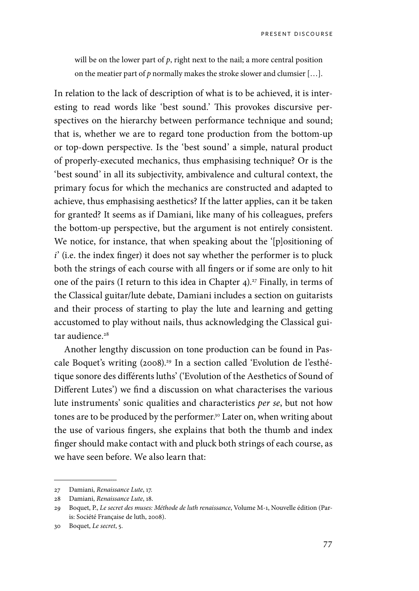will be on the lower part of *p*, right next to the nail; a more central position on the meatier part of *p* normally makes the stroke slower and clumsier […].

In relation to the lack of description of what is to be achieved, it is interesting to read words like 'best sound.' This provokes discursive perspectives on the hierarchy between performance technique and sound; that is, whether we are to regard tone production from the bottom-up or top-down perspective. Is the 'best sound' a simple, natural product of properly-executed mechanics, thus emphasising technique? Or is the 'best sound' in all its subjectivity, ambivalence and cultural context, the primary focus for which the mechanics are constructed and adapted to achieve, thus emphasising aesthetics? If the latter applies, can it be taken for granted? It seems as if Damiani, like many of his colleagues, prefers the bottom-up perspective, but the argument is not entirely consistent. We notice, for instance, that when speaking about the '[p]ositioning of *i*' (i.e. the index finger) it does not say whether the performer is to pluck both the strings of each course with all fingers or if some are only to hit one of the pairs (I return to this idea in Chapter 4).<sup>27</sup> Finally, in terms of the Classical guitar/lute debate, Damiani includes a section on guitarists and their process of starting to play the lute and learning and getting accustomed to play without nails, thus acknowledging the Classical guitar audience.<sup>28</sup>

Another lengthy discussion on tone production can be found in Pascale Boquet's writing (2008).<sup>29</sup> In a section called 'Evolution de l'esthétique sonore des différents luths' ('Evolution of the Aesthetics of Sound of Different Lutes') we find a discussion on what characterises the various lute instruments' sonic qualities and characteristics *per se*, but not how tones are to be produced by the performer.<sup>30</sup> Later on, when writing about the use of various fingers, she explains that both the thumb and index finger should make contact with and pluck both strings of each course, as we have seen before. We also learn that:

<sup>27</sup> Damiani, *Renaissance Lute*, 17.

<sup>28</sup> Damiani, *Renaissance Lute*, 18.

<sup>29</sup> Boquet, P., *Le secret des muses: Méthode de luth renaissance*, Volume M-1, Nouvelle édition (Paris: Société Française de luth, 2008).

<sup>30</sup> Boquet, *Le secret*, 5.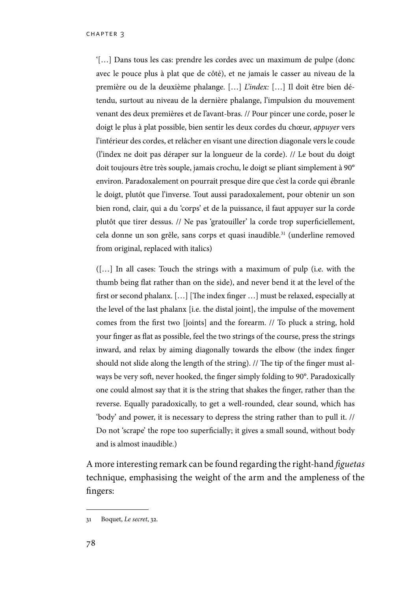'[…] Dans tous les cas: prendre les cordes avec un maximum de pulpe (donc avec le pouce plus à plat que de côté), et ne jamais le casser au niveau de la première ou de la deuxième phalange. […] *L'index:* […] Il doit être bien détendu, surtout au niveau de la dernière phalange, l'impulsion du mouvement venant des deux premières et de l'avant-bras. // Pour pincer une corde, poser le doigt le plus à plat possible, bien sentir les deux cordes du chœur, *appuyer* vers l'intérieur des cordes, et relâcher en visant une direction diagonale vers le coude (l'index ne doit pas déraper sur la longueur de la corde). // Le bout du doigt doit toujours être très souple, jamais crochu, le doigt se pliant simplement à 90° environ. Paradoxalement on pourrait presque dire que c'est la corde qui ébranle le doigt, plutôt que l'inverse. Tout aussi paradoxalement, pour obtenir un son bien rond, clair, qui a du 'corps' et de la puissance, il faut appuyer sur la corde plutôt que tirer dessus. // Ne pas 'gratouiller' la corde trop superficiellement, cela donne un son grêle, sans corps et quasi inaudible.31 (underline removed from original, replaced with italics)

([…] In all cases: Touch the strings with a maximum of pulp (i.e. with the thumb being flat rather than on the side), and never bend it at the level of the first or second phalanx. […] [The index finger …] must be relaxed, especially at the level of the last phalanx [i.e. the distal joint], the impulse of the movement comes from the first two [joints] and the forearm. // To pluck a string, hold your finger as flat as possible, feel the two strings of the course, press the strings inward, and relax by aiming diagonally towards the elbow (the index finger should not slide along the length of the string). // The tip of the finger must always be very soft, never hooked, the finger simply folding to 90°. Paradoxically one could almost say that it is the string that shakes the finger, rather than the reverse. Equally paradoxically, to get a well-rounded, clear sound, which has 'body' and power, it is necessary to depress the string rather than to pull it. // Do not 'scrape' the rope too superficially; it gives a small sound, without body and is almost inaudible.)

A more interesting remark can be found regarding the right-hand *figuetas* technique, emphasising the weight of the arm and the ampleness of the fingers:

<sup>31</sup> Boquet, *Le secret*, 32.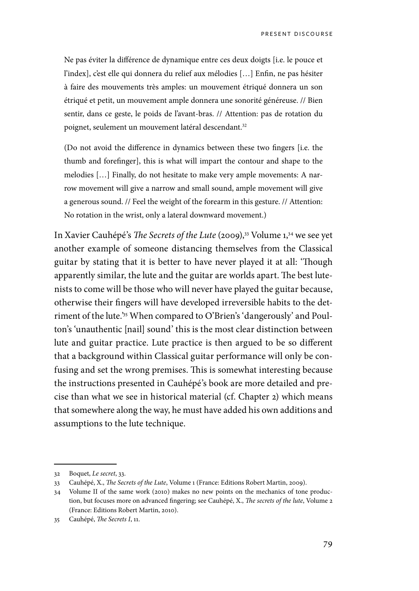Ne pas éviter la différence de dynamique entre ces deux doigts [i.e. le pouce et l'index], c'est elle qui donnera du relief aux mélodies […] Enfin, ne pas hésiter à faire des mouvements très amples: un mouvement étriqué donnera un son étriqué et petit, un mouvement ample donnera une sonorité généreuse. // Bien sentir, dans ce geste, le poids de l'avant-bras. // Attention: pas de rotation du poignet, seulement un mouvement latéral descendant.<sup>32</sup>

(Do not avoid the difference in dynamics between these two fingers [i.e. the thumb and forefinger], this is what will impart the contour and shape to the melodies […] Finally, do not hesitate to make very ample movements: A narrow movement will give a narrow and small sound, ample movement will give a generous sound. // Feel the weight of the forearm in this gesture. // Attention: No rotation in the wrist, only a lateral downward movement.)

In Xavier Cauhépé's *The Secrets of the Lute* (2009),33 Volume 1,34 we see yet another example of someone distancing themselves from the Classical guitar by stating that it is better to have never played it at all: 'Though apparently similar, the lute and the guitar are worlds apart. The best lutenists to come will be those who will never have played the guitar because, otherwise their fingers will have developed irreversible habits to the detriment of the lute.'35 When compared to O'Brien's 'dangerously' and Poulton's 'unauthentic [nail] sound' this is the most clear distinction between lute and guitar practice. Lute practice is then argued to be so different that a background within Classical guitar performance will only be confusing and set the wrong premises. This is somewhat interesting because the instructions presented in Cauhépé's book are more detailed and precise than what we see in historical material (cf. Chapter 2) which means that somewhere along the way, he must have added his own additions and assumptions to the lute technique.

<sup>32</sup> Boquet, *Le secret*, 33.

<sup>33</sup> Cauhépé, X., *The Secrets of the Lute*, Volume 1 (France: Editions Robert Martin, 2009).

<sup>34</sup> Volume II of the same work (2010) makes no new points on the mechanics of tone production, but focuses more on advanced fingering; see Cauhépé, X., *The secrets of the lute*, Volume 2 (France: Editions Robert Martin, 2010).

<sup>35</sup> Cauhépé, *The Secrets I*, 11.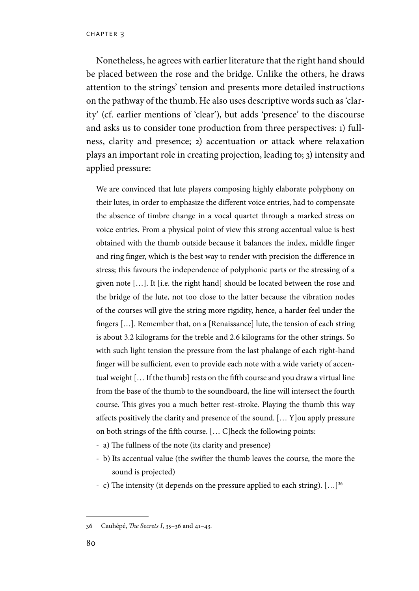chapter 3

Nonetheless, he agrees with earlier literature that the right hand should be placed between the rose and the bridge. Unlike the others, he draws attention to the strings' tension and presents more detailed instructions on the pathway of the thumb. He also uses descriptive words such as 'clarity' (cf. earlier mentions of 'clear'), but adds 'presence' to the discourse and asks us to consider tone production from three perspectives: 1) fullness, clarity and presence; 2) accentuation or attack where relaxation plays an important role in creating projection, leading to; 3) intensity and applied pressure:

We are convinced that lute players composing highly elaborate polyphony on their lutes, in order to emphasize the different voice entries, had to compensate the absence of timbre change in a vocal quartet through a marked stress on voice entries. From a physical point of view this strong accentual value is best obtained with the thumb outside because it balances the index, middle finger and ring finger, which is the best way to render with precision the difference in stress; this favours the independence of polyphonic parts or the stressing of a given note […]. It [i.e. the right hand] should be located between the rose and the bridge of the lute, not too close to the latter because the vibration nodes of the courses will give the string more rigidity, hence, a harder feel under the fingers […]. Remember that, on a [Renaissance] lute, the tension of each string is about 3.2 kilograms for the treble and 2.6 kilograms for the other strings. So with such light tension the pressure from the last phalange of each right-hand finger will be sufficient, even to provide each note with a wide variety of accentual weight [… If the thumb] rests on the fifth course and you draw a virtual line from the base of the thumb to the soundboard, the line will intersect the fourth course. This gives you a much better rest-stroke. Playing the thumb this way affects positively the clarity and presence of the sound. [… Y]ou apply pressure on both strings of the fifth course. [… C]heck the following points:

- a) The fullness of the note (its clarity and presence)
- b) Its accentual value (the swifter the thumb leaves the course, the more the sound is projected)
- c) The intensity (it depends on the pressure applied to each string). […]36

<sup>36</sup> Cauhépé, *The Secrets I*, 35–36 and 41–43.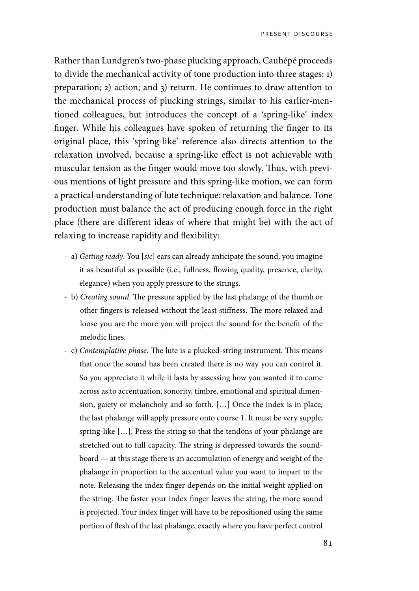Rather than Lundgren's two-phase plucking approach, Cauhépé proceeds to divide the mechanical activity of tone production into three stages: 1) preparation; 2) action; and 3) return. He continues to draw attention to the mechanical process of plucking strings, similar to his earlier-mentioned colleagues, but introduces the concept of a 'spring-like' index finger. While his colleagues have spoken of returning the finger to its original place, this 'spring-like' reference also directs attention to the relaxation involved, because a spring-like effect is not achievable with muscular tension as the finger would move too slowly. Thus, with previous mentions of light pressure and this spring-like motion, we can form a practical understanding of lute technique: relaxation and balance. Tone production must balance the act of producing enough force in the right place (there are different ideas of where that might be) with the act of relaxing to increase rapidity and flexibility:

- a) *Getting ready*. You [*sic*] ears can already anticipate the sound, you imagine it as beautiful as possible (i.e., fullness, flowing quality, presence, clarity, elegance) when you apply pressure to the strings.
- b) *Creating sound*. The pressure applied by the last phalange of the thumb or other fingers is released without the least stiffness. The more relaxed and loose you are the more you will project the sound for the benefit of the melodic lines.
- c) *Contemplative phase*. The lute is a plucked-string instrument. This means that once the sound has been created there is no way you can control it. So you appreciate it while it lasts by assessing how you wanted it to come across as to accentuation, sonority, timbre, emotional and spiritual dimension, gaiety or melancholy and so forth. […] Once the index is in place, the last phalange will apply pressure onto course 1. It must be very supple, spring-like […]. Press the string so that the tendons of your phalange are stretched out to full capacity. The string is depressed towards the soundboard — at this stage there is an accumulation of energy and weight of the phalange in proportion to the accentual value you want to impart to the note. Releasing the index finger depends on the initial weight applied on the string. The faster your index finger leaves the string, the more sound is projected. Your index finger will have to be repositioned using the same portion of flesh of the last phalange, exactly where you have perfect control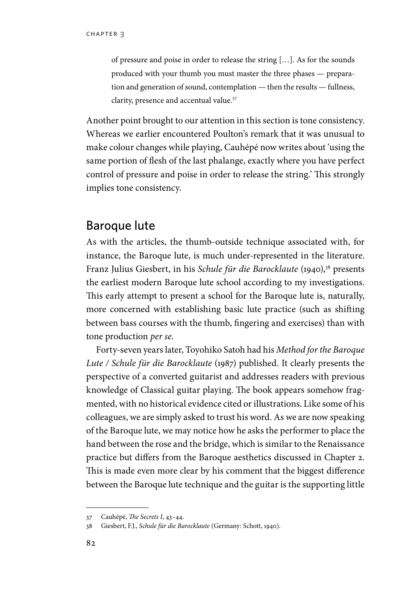of pressure and poise in order to release the string […]. As for the sounds produced with your thumb you must master the three phases — preparation and generation of sound, contemplation — then the results — fullness, clarity, presence and accentual value.37

Another point brought to our attention in this section is tone consistency. Whereas we earlier encountered Poulton's remark that it was unusual to make colour changes while playing, Cauhépé now writes about 'using the same portion of flesh of the last phalange, exactly where you have perfect control of pressure and poise in order to release the string.' This strongly implies tone consistency.

## Baroque lute

As with the articles, the thumb-outside technique associated with, for instance, the Baroque lute, is much under-represented in the literature. Franz Julius Giesbert, in his *Schule für die Barocklaute* (1940),38 presents the earliest modern Baroque lute school according to my investigations. This early attempt to present a school for the Baroque lute is, naturally, more concerned with establishing basic lute practice (such as shifting between bass courses with the thumb, fingering and exercises) than with tone production *per se*.

Forty-seven years later, Toyohiko Satoh had his *Method for the Baroque Lute / Schule für die Barocklaute* (1987) published. It clearly presents the perspective of a converted guitarist and addresses readers with previous knowledge of Classical guitar playing. The book appears somehow fragmented, with no historical evidence cited or illustrations. Like some of his colleagues, we are simply asked to trust his word. As we are now speaking of the Baroque lute, we may notice how he asks the performer to place the hand between the rose and the bridge, which is similar to the Renaissance practice but differs from the Baroque aesthetics discussed in Chapter 2. This is made even more clear by his comment that the biggest difference between the Baroque lute technique and the guitar is the supporting little

<sup>37</sup> Cauhépé, *The Secrets I*, 43–44.

<sup>38</sup> Giesbert, F.J., *Schule für die Barocklaute* (Germany: Schott, 1940).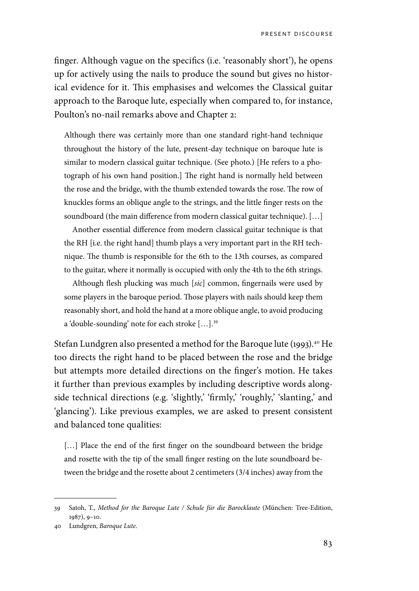finger. Although vague on the specifics (i.e. 'reasonably short'), he opens up for actively using the nails to produce the sound but gives no historical evidence for it. This emphasises and welcomes the Classical guitar approach to the Baroque lute, especially when compared to, for instance, Poulton's no-nail remarks above and Chapter 2:

Although there was certainly more than one standard right-hand technique throughout the history of the lute, present-day technique on baroque lute is similar to modern classical guitar technique. (See photo.) [He refers to a photograph of his own hand position.] The right hand is normally held between the rose and the bridge, with the thumb extended towards the rose. The row of knuckles forms an oblique angle to the strings, and the little finger rests on the soundboard (the main difference from modern classical guitar technique). […]

Another essential difference from modern classical guitar technique is that the RH [i.e. the right hand] thumb plays a very important part in the RH technique. The thumb is responsible for the 6th to the 13th courses, as compared to the guitar, where it normally is occupied with only the 4th to the 6th strings.

Although flesh plucking was much [*sic*] common, fingernails were used by some players in the baroque period. Those players with nails should keep them reasonably short, and hold the hand at a more oblique angle, to avoid producing a 'double-sounding' note for each stroke [...].<sup>39</sup>

Stefan Lundgren also presented a method for the Baroque lute (1993).<sup>40</sup> He too directs the right hand to be placed between the rose and the bridge but attempts more detailed directions on the finger's motion. He takes it further than previous examples by including descriptive words alongside technical directions (e.g. 'slightly,' 'firmly,' 'roughly,' 'slanting,' and 'glancing'). Like previous examples, we are asked to present consistent and balanced tone qualities:

[...] Place the end of the first finger on the soundboard between the bridge and rosette with the tip of the small finger resting on the lute soundboard between the bridge and the rosette about 2 centimeters (3/4 inches) away from the

<sup>39</sup> Satoh, T., *Method for the Baroque Lute / Schule für die Barocklaute* (München: Tree-Edition, 1987), 9–10.

<sup>40</sup> Lundgren, *Baroque Lute*.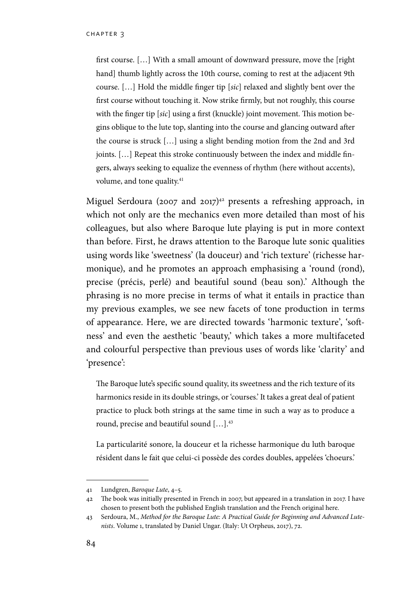first course. […] With a small amount of downward pressure, move the [right hand] thumb lightly across the 10th course, coming to rest at the adjacent 9th course. […] Hold the middle finger tip [*sic*] relaxed and slightly bent over the first course without touching it. Now strike firmly, but not roughly, this course with the finger tip [*sic*] using a first (knuckle) joint movement. This motion begins oblique to the lute top, slanting into the course and glancing outward after the course is struck […] using a slight bending motion from the 2nd and 3rd joints. […] Repeat this stroke continuously between the index and middle fingers, always seeking to equalize the evenness of rhythm (here without accents), volume, and tone quality.<sup>41</sup>

Miguel Serdoura (2007 and 2017)<sup>42</sup> presents a refreshing approach, in which not only are the mechanics even more detailed than most of his colleagues, but also where Baroque lute playing is put in more context than before. First, he draws attention to the Baroque lute sonic qualities using words like 'sweetness' (la douceur) and 'rich texture' (richesse harmonique), and he promotes an approach emphasising a 'round (rond), precise (précis, perlé) and beautiful sound (beau son).' Although the phrasing is no more precise in terms of what it entails in practice than my previous examples, we see new facets of tone production in terms of appearance. Here, we are directed towards 'harmonic texture', 'softness' and even the aesthetic 'beauty,' which takes a more multifaceted and colourful perspective than previous uses of words like 'clarity' and 'presence':

The Baroque lute's specific sound quality, its sweetness and the rich texture of its harmonics reside in its double strings, or 'courses.' It takes a great deal of patient practice to pluck both strings at the same time in such a way as to produce a round, precise and beautiful sound […].43

La particularité sonore, la douceur et la richesse harmonique du luth baroque résident dans le fait que celui-ci possède des cordes doubles, appelées 'choeurs.'

<sup>41</sup> Lundgren, *Baroque Lute*, 4–5.

<sup>42</sup> The book was initially presented in French in 2007, but appeared in a translation in 2017. I have chosen to present both the published English translation and the French original here.

<sup>43</sup> Serdoura, M., *Method for the Baroque Lute: A Practical Guide for Beginning and Advanced Lutenists*. Volume 1, translated by Daniel Ungar. (Italy: Ut Orpheus, 2017), 72.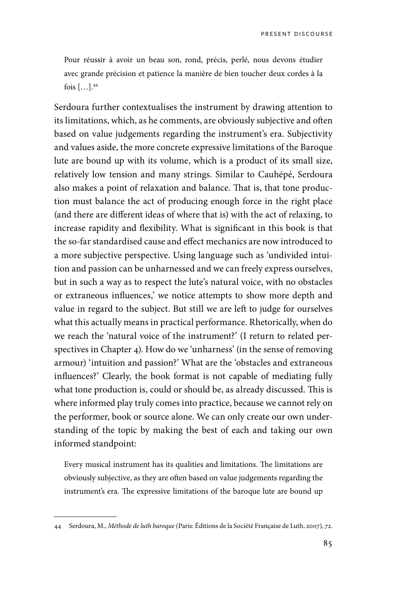Pour réussir à avoir un beau son, rond, précis, perlé, nous devons étudier avec grande précision et patience la manière de bien toucher deux cordes à la fois […].44

Serdoura further contextualises the instrument by drawing attention to its limitations, which, as he comments, are obviously subjective and often based on value judgements regarding the instrument's era. Subjectivity and values aside, the more concrete expressive limitations of the Baroque lute are bound up with its volume, which is a product of its small size, relatively low tension and many strings. Similar to Cauhépé, Serdoura also makes a point of relaxation and balance. That is, that tone production must balance the act of producing enough force in the right place (and there are different ideas of where that is) with the act of relaxing, to increase rapidity and flexibility. What is significant in this book is that the so-far standardised cause and effect mechanics are now introduced to a more subjective perspective. Using language such as 'undivided intuition and passion can be unharnessed and we can freely express ourselves, but in such a way as to respect the lute's natural voice, with no obstacles or extraneous influences,' we notice attempts to show more depth and value in regard to the subject. But still we are left to judge for ourselves what this actually means in practical performance. Rhetorically, when do we reach the 'natural voice of the instrument?' (I return to related perspectives in Chapter 4). How do we 'unharness' (in the sense of removing armour) 'intuition and passion?' What are the 'obstacles and extraneous influences?' Clearly, the book format is not capable of mediating fully what tone production is, could or should be, as already discussed. This is where informed play truly comes into practice, because we cannot rely on the performer, book or source alone. We can only create our own understanding of the topic by making the best of each and taking our own informed standpoint:

Every musical instrument has its qualities and limitations. The limitations are obviously subjective, as they are often based on value judgements regarding the instrument's era. The expressive limitations of the baroque lute are bound up

<sup>44</sup> Serdoura, M., *Méthode de luth baroque* (Paris: Éditions de la Société Française de Luth, 2007), 72.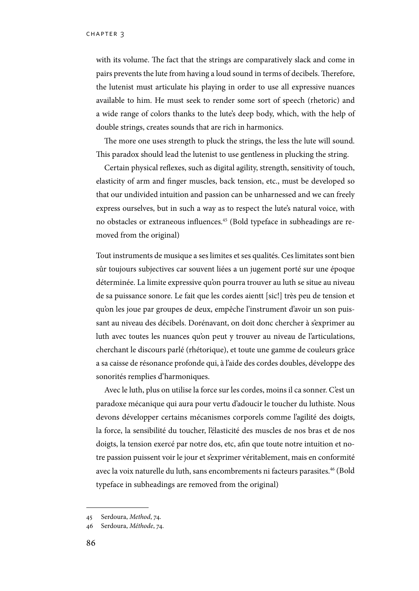with its volume. The fact that the strings are comparatively slack and come in pairs prevents the lute from having a loud sound in terms of decibels. Therefore, the lutenist must articulate his playing in order to use all expressive nuances available to him. He must seek to render some sort of speech (rhetoric) and a wide range of colors thanks to the lute's deep body, which, with the help of double strings, creates sounds that are rich in harmonics.

The more one uses strength to pluck the strings, the less the lute will sound. This paradox should lead the lutenist to use gentleness in plucking the string.

Certain physical reflexes, such as digital agility, strength, sensitivity of touch, elasticity of arm and finger muscles, back tension, etc., must be developed so that our undivided intuition and passion can be unharnessed and we can freely express ourselves, but in such a way as to respect the lute's natural voice, with no obstacles or extraneous influences.45 (Bold typeface in subheadings are removed from the original)

Tout instruments de musique a ses limites et ses qualités. Ces limitates sont bien sûr toujours subjectives car souvent liées a un jugement porté sur une époque déterminée. La limite expressive qu'on pourra trouver au luth se situe au niveau de sa puissance sonore. Le fait que les cordes aientt [sic!] très peu de tension et qu'on les joue par groupes de deux, empêche l'instrument d'avoir un son puissant au niveau des décibels. Dorénavant, on doit donc chercher à s'exprimer au luth avec toutes les nuances qu'on peut y trouver au niveau de l'articulations, cherchant le discours parlé (rhétorique), et toute une gamme de couleurs grâce a sa caisse de résonance profonde qui, à l'aide des cordes doubles, développe des sonorités remplies d'harmoniques.

Avec le luth, plus on utilise la force sur les cordes, moins il ca sonner. C'est un paradoxe mécanique qui aura pour vertu d'adoucir le toucher du luthiste. Nous devons développer certains mécanismes corporels comme l'agilité des doigts, la force, la sensibilité du toucher, l'élasticité des muscles de nos bras et de nos doigts, la tension exercé par notre dos, etc, afin que toute notre intuition et notre passion puissent voir le jour et s'exprimer véritablement, mais en conformité avec la voix naturelle du luth, sans encombrements ni facteurs parasites.46 (Bold typeface in subheadings are removed from the original)

<sup>45</sup> Serdoura, *Method*, 74.

<sup>46</sup> Serdoura, *Méthode*, 74.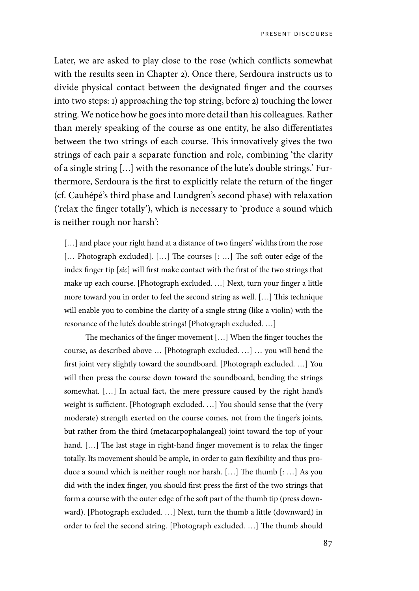Later, we are asked to play close to the rose (which conflicts somewhat with the results seen in Chapter 2). Once there, Serdoura instructs us to divide physical contact between the designated finger and the courses into two steps: 1) approaching the top string, before 2) touching the lower string. We notice how he goes into more detail than his colleagues. Rather than merely speaking of the course as one entity, he also differentiates between the two strings of each course. This innovatively gives the two strings of each pair a separate function and role, combining 'the clarity of a single string […] with the resonance of the lute's double strings.' Furthermore, Serdoura is the first to explicitly relate the return of the finger (cf. Cauhépé's third phase and Lundgren's second phase) with relaxation ('relax the finger totally'), which is necessary to 'produce a sound which is neither rough nor harsh':

[...] and place your right hand at a distance of two fingers' widths from the rose [… Photograph excluded]. […] The courses [: …] The soft outer edge of the index finger tip [*sic*] will first make contact with the first of the two strings that make up each course. [Photograph excluded. …] Next, turn your finger a little more toward you in order to feel the second string as well. […] This technique will enable you to combine the clarity of a single string (like a violin) with the resonance of the lute's double strings! [Photograph excluded. …]

The mechanics of the finger movement […] When the finger touches the course, as described above … [Photograph excluded. …] … you will bend the first joint very slightly toward the soundboard. [Photograph excluded. …] You will then press the course down toward the soundboard, bending the strings somewhat. […] In actual fact, the mere pressure caused by the right hand's weight is sufficient. [Photograph excluded. …] You should sense that the (very moderate) strength exerted on the course comes, not from the finger's joints, but rather from the third (metacarpophalangeal) joint toward the top of your hand. […] The last stage in right-hand finger movement is to relax the finger totally. Its movement should be ample, in order to gain flexibility and thus produce a sound which is neither rough nor harsh. […] The thumb [: …] As you did with the index finger, you should first press the first of the two strings that form a course with the outer edge of the soft part of the thumb tip (press downward). [Photograph excluded. …] Next, turn the thumb a little (downward) in order to feel the second string. [Photograph excluded. …] The thumb should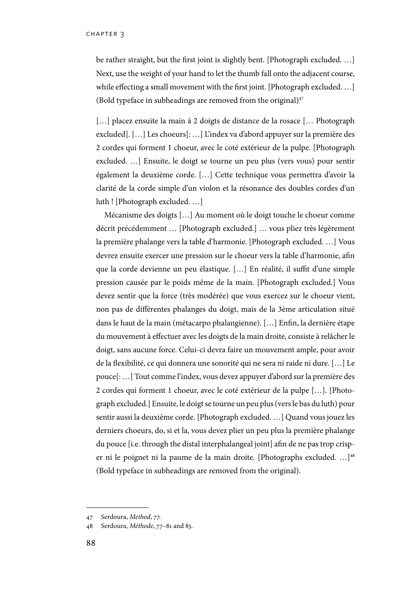be rather straight, but the first joint is slightly bent. [Photograph excluded. …] Next, use the weight of your hand to let the thumb fall onto the adjacent course, while effecting a small movement with the first joint. [Photograph excluded. ...] (Bold typeface in subheadings are removed from the original) $47$ 

[...] placez ensuite la main à 2 doigts de distance de la rosace [... Photograph excluded]. […] Les choeurs[: …] L'index va d'abord appuyer sur la première des 2 cordes qui forment 1 choeur, avec le coté extérieur de la pulpe. [Photograph excluded. …] Ensuite, le doigt se tourne un peu plus (vers vous) pour sentir également la deuxième corde. […] Cette technique vous permettra d'avoir la clarité de la corde simple d'un violon et la résonance des doubles cordes d'un luth ! [Photograph excluded. …]

Mécanisme des doigts […] Au moment où le doigt touche le choeur comme décrit précédemment … [Photograph excluded.] … vous pliez très légèrement la première phalange vers la table d'harmonie. [Photograph excluded. …] Vous devrez ensuite exercer une pression sur le choeur vers la table d'harmonie, afin que la corde devienne un peu élastique. […] En réalité, il suffit d'une simple pression causée par le poids même de la main. [Photograph excluded.] Vous devez sentir que la force (très modérée) que vous exercez sur le choeur vient, non pas de différentes phalanges du doigt, mais de la 3ème articulation situé dans le haut de la main (métacarpo phalangienne). […] Enfin, la dernière étape du mouvement à effectuer avec les doigts de la main droite, consiste à relâcher le doigt, sans aucune force. Celui-ci devra faire un mouvement ample, pour avoir de la flexibilité, ce qui donnera une sonorité qui ne sera ni raide ni dure. […] Le pouce[: …] Tout comme l'index, vous devez appuyer d'abord sur la première des 2 cordes qui forment 1 choeur, avec le coté extérieur de la pulpe […]. [Photograph excluded.] Ensuite, le doigt se tourne un peu plus (vers le bas du luth) pour sentir aussi la deuxième corde. [Photograph excluded. …] Quand vous jouez les derniers choeurs, do, si et la, vous devez plier un peu plus la première phalange du pouce [i.e. through the distal interphalangeal joint] afin de ne pas trop crisper ni le poignet ni la paume de la main droite. [Photographs excluded. ...]<sup>48</sup> (Bold typeface in subheadings are removed from the original).

<sup>47</sup> Serdoura, *Method*, 77.

<sup>48</sup> Serdoura, *Méthode*, 77–81 and 83.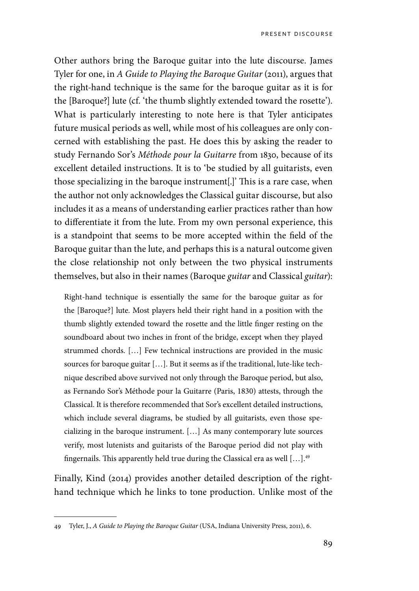Other authors bring the Baroque guitar into the lute discourse. James Tyler for one, in *A Guide to Playing the Baroque Guitar* (2011), argues that the right-hand technique is the same for the baroque guitar as it is for the [Baroque?] lute (cf. 'the thumb slightly extended toward the rosette'). What is particularly interesting to note here is that Tyler anticipates future musical periods as well, while most of his colleagues are only concerned with establishing the past. He does this by asking the reader to study Fernando Sor's *Méthode pour la Guitarre* from 1830, because of its excellent detailed instructions. It is to 'be studied by all guitarists, even those specializing in the baroque instrument[.]' This is a rare case, when the author not only acknowledges the Classical guitar discourse, but also includes it as a means of understanding earlier practices rather than how to differentiate it from the lute. From my own personal experience, this is a standpoint that seems to be more accepted within the field of the Baroque guitar than the lute, and perhaps this is a natural outcome given the close relationship not only between the two physical instruments themselves, but also in their names (Baroque *guitar* and Classical *guitar*):

Right-hand technique is essentially the same for the baroque guitar as for the [Baroque?] lute. Most players held their right hand in a position with the thumb slightly extended toward the rosette and the little finger resting on the soundboard about two inches in front of the bridge, except when they played strummed chords. […] Few technical instructions are provided in the music sources for baroque guitar […]. But it seems as if the traditional, lute-like technique described above survived not only through the Baroque period, but also, as Fernando Sor's Méthode pour la Guitarre (Paris, 1830) attests, through the Classical. It is therefore recommended that Sor's excellent detailed instructions, which include several diagrams, be studied by all guitarists, even those specializing in the baroque instrument. […] As many contemporary lute sources verify, most lutenists and guitarists of the Baroque period did not play with fingernails. This apparently held true during the Classical era as well  $[\,...]$ .<sup>49</sup>

Finally, Kind (2014) provides another detailed description of the righthand technique which he links to tone production. Unlike most of the

<sup>49</sup> Tyler, J., *A Guide to Playing the Baroque Guitar* (USA, Indiana University Press, 2011), 6.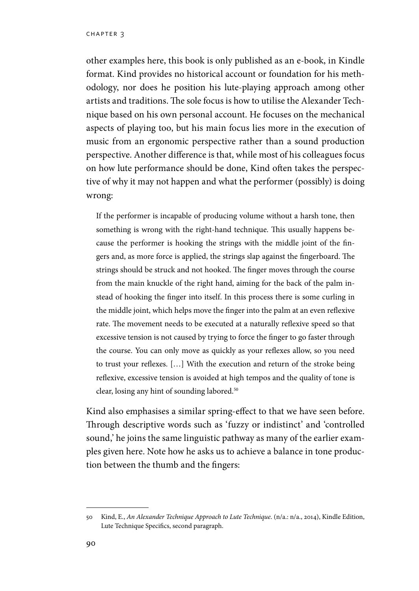other examples here, this book is only published as an e-book, in Kindle format. Kind provides no historical account or foundation for his methodology, nor does he position his lute-playing approach among other artists and traditions. The sole focus is how to utilise the Alexander Technique based on his own personal account. He focuses on the mechanical aspects of playing too, but his main focus lies more in the execution of music from an ergonomic perspective rather than a sound production perspective. Another difference is that, while most of his colleagues focus on how lute performance should be done, Kind often takes the perspective of why it may not happen and what the performer (possibly) is doing wrong:

If the performer is incapable of producing volume without a harsh tone, then something is wrong with the right-hand technique. This usually happens because the performer is hooking the strings with the middle joint of the fingers and, as more force is applied, the strings slap against the fingerboard. The strings should be struck and not hooked. The finger moves through the course from the main knuckle of the right hand, aiming for the back of the palm instead of hooking the finger into itself. In this process there is some curling in the middle joint, which helps move the finger into the palm at an even reflexive rate. The movement needs to be executed at a naturally reflexive speed so that excessive tension is not caused by trying to force the finger to go faster through the course. You can only move as quickly as your reflexes allow, so you need to trust your reflexes. […] With the execution and return of the stroke being reflexive, excessive tension is avoided at high tempos and the quality of tone is clear, losing any hint of sounding labored.<sup>50</sup>

Kind also emphasises a similar spring-effect to that we have seen before. Through descriptive words such as 'fuzzy or indistinct' and 'controlled sound,' he joins the same linguistic pathway as many of the earlier examples given here. Note how he asks us to achieve a balance in tone production between the thumb and the fingers:

<sup>50</sup> Kind, E., *An Alexander Technique Approach to Lute Technique*. (n/a.: n/a., 2014), Kindle Edition, Lute Technique Specifics, second paragraph.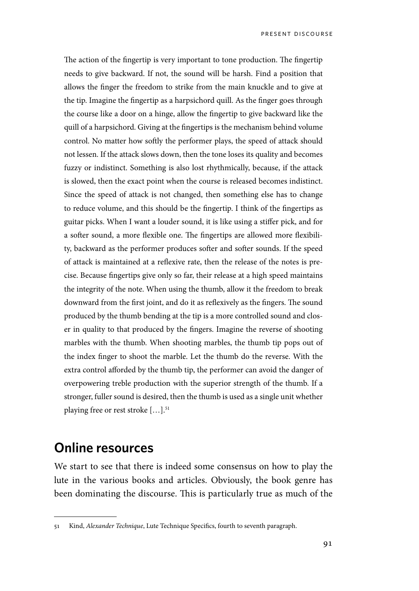The action of the fingertip is very important to tone production. The fingertip needs to give backward. If not, the sound will be harsh. Find a position that allows the finger the freedom to strike from the main knuckle and to give at the tip. Imagine the fingertip as a harpsichord quill. As the finger goes through the course like a door on a hinge, allow the fingertip to give backward like the quill of a harpsichord. Giving at the fingertips is the mechanism behind volume control. No matter how softly the performer plays, the speed of attack should not lessen. If the attack slows down, then the tone loses its quality and becomes fuzzy or indistinct. Something is also lost rhythmically, because, if the attack is slowed, then the exact point when the course is released becomes indistinct. Since the speed of attack is not changed, then something else has to change to reduce volume, and this should be the fingertip. I think of the fingertips as guitar picks. When I want a louder sound, it is like using a stiffer pick, and for a softer sound, a more flexible one. The fingertips are allowed more flexibility, backward as the performer produces softer and softer sounds. If the speed of attack is maintained at a reflexive rate, then the release of the notes is precise. Because fingertips give only so far, their release at a high speed maintains the integrity of the note. When using the thumb, allow it the freedom to break downward from the first joint, and do it as reflexively as the fingers. The sound produced by the thumb bending at the tip is a more controlled sound and closer in quality to that produced by the fingers. Imagine the reverse of shooting marbles with the thumb. When shooting marbles, the thumb tip pops out of the index finger to shoot the marble. Let the thumb do the reverse. With the extra control afforded by the thumb tip, the performer can avoid the danger of overpowering treble production with the superior strength of the thumb. If a stronger, fuller sound is desired, then the thumb is used as a single unit whether playing free or rest stroke […].51

## **Online resources**

We start to see that there is indeed some consensus on how to play the lute in the various books and articles. Obviously, the book genre has been dominating the discourse. This is particularly true as much of the

<sup>51</sup> Kind, *Alexander Technique*, Lute Technique Specifics, fourth to seventh paragraph.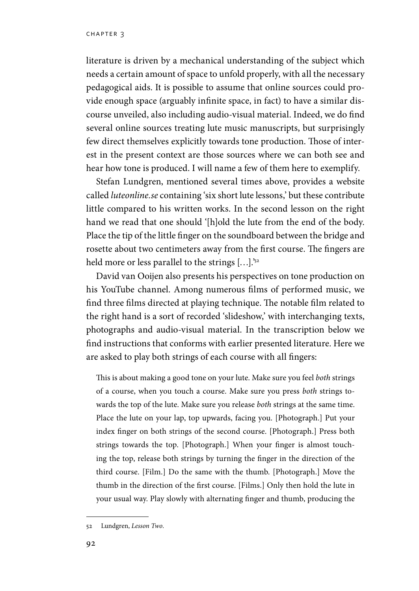literature is driven by a mechanical understanding of the subject which needs a certain amount of space to unfold properly, with all the necessary pedagogical aids. It is possible to assume that online sources could provide enough space (arguably infinite space, in fact) to have a similar discourse unveiled, also including audio-visual material. Indeed, we do find several online sources treating lute music manuscripts, but surprisingly few direct themselves explicitly towards tone production. Those of interest in the present context are those sources where we can both see and hear how tone is produced. I will name a few of them here to exemplify.

Stefan Lundgren, mentioned several times above, provides a website called *luteonline.se* containing 'six short lute lessons,' but these contribute little compared to his written works. In the second lesson on the right hand we read that one should '[h]old the lute from the end of the body. Place the tip of the little finger on the soundboard between the bridge and rosette about two centimeters away from the first course. The fingers are held more or less parallel to the strings  $[...]^{32}$ 

David van Ooijen also presents his perspectives on tone production on his YouTube channel. Among numerous films of performed music, we find three films directed at playing technique. The notable film related to the right hand is a sort of recorded 'slideshow,' with interchanging texts, photographs and audio-visual material. In the transcription below we find instructions that conforms with earlier presented literature. Here we are asked to play both strings of each course with all fingers:

This is about making a good tone on your lute. Make sure you feel *both* strings of a course, when you touch a course. Make sure you press *both* strings towards the top of the lute. Make sure you release *both* strings at the same time. Place the lute on your lap, top upwards, facing you. [Photograph.] Put your index finger on both strings of the second course. [Photograph.] Press both strings towards the top. [Photograph.] When your finger is almost touching the top, release both strings by turning the finger in the direction of the third course. [Film.] Do the same with the thumb. [Photograph.] Move the thumb in the direction of the first course. [Films.] Only then hold the lute in your usual way. Play slowly with alternating finger and thumb, producing the

<sup>52</sup> Lundgren, *Lesson Two*.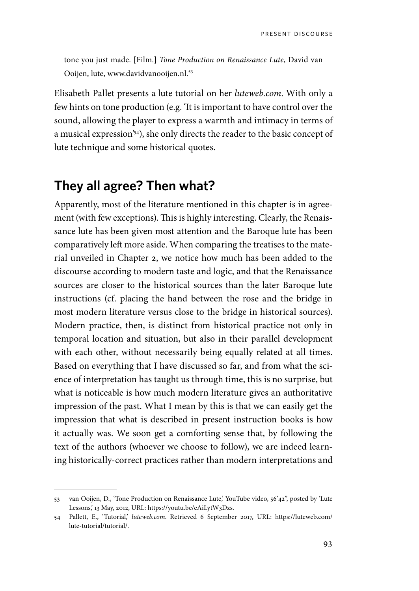tone you just made. [Film.] *Tone Production on Renaissance Lute*, David van Ooijen, lute, www.davidvanooijen.nl.<sup>53</sup>

Elisabeth Pallet presents a lute tutorial on her *luteweb.com*. With only a few hints on tone production (e.g. 'It is important to have control over the sound, allowing the player to express a warmth and intimacy in terms of a musical expression'54), she only directs the reader to the basic concept of lute technique and some historical quotes.

## **They all agree? Then what?**

Apparently, most of the literature mentioned in this chapter is in agreement (with few exceptions). This is highly interesting. Clearly, the Renaissance lute has been given most attention and the Baroque lute has been comparatively left more aside. When comparing the treatises to the material unveiled in Chapter 2, we notice how much has been added to the discourse according to modern taste and logic, and that the Renaissance sources are closer to the historical sources than the later Baroque lute instructions (cf. placing the hand between the rose and the bridge in most modern literature versus close to the bridge in historical sources). Modern practice, then, is distinct from historical practice not only in temporal location and situation, but also in their parallel development with each other, without necessarily being equally related at all times. Based on everything that I have discussed so far, and from what the science of interpretation has taught us through time, this is no surprise, but what is noticeable is how much modern literature gives an authoritative impression of the past. What I mean by this is that we can easily get the impression that what is described in present instruction books is how it actually was. We soon get a comforting sense that, by following the text of the authors (whoever we choose to follow), we are indeed learning historically-correct practices rather than modern interpretations and

<sup>53</sup> van Ooijen, D., 'Tone Production on Renaissance Lute,' YouTube video, 56'42", posted by 'Lute Lessons,' 13 May, 2012, URL: https://youtu.be/eAiLytW3Dzs.

<sup>54</sup> Pallett, E., 'Tutorial,' *luteweb.com*. Retrieved 6 September 2017, URL: https://luteweb.com/ lute-tutorial/tutorial/.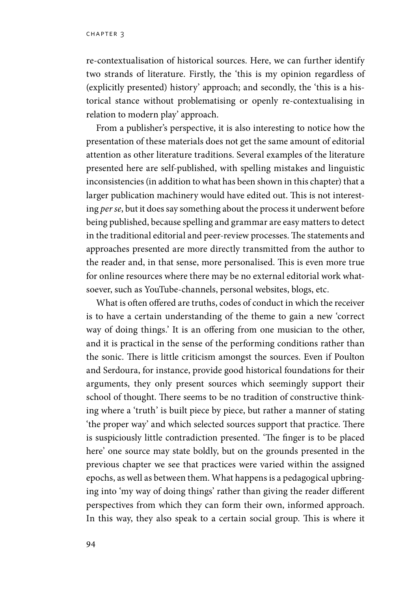re-contextualisation of historical sources. Here, we can further identify two strands of literature. Firstly, the 'this is my opinion regardless of (explicitly presented) history' approach; and secondly, the 'this is a historical stance without problematising or openly re-contextualising in relation to modern play' approach.

From a publisher's perspective, it is also interesting to notice how the presentation of these materials does not get the same amount of editorial attention as other literature traditions. Several examples of the literature presented here are self-published, with spelling mistakes and linguistic inconsistencies (in addition to what has been shown in this chapter) that a larger publication machinery would have edited out. This is not interesting *per se*, but it does say something about the process it underwent before being published, because spelling and grammar are easy matters to detect in the traditional editorial and peer-review processes. The statements and approaches presented are more directly transmitted from the author to the reader and, in that sense, more personalised. This is even more true for online resources where there may be no external editorial work whatsoever, such as YouTube-channels, personal websites, blogs, etc.

What is often offered are truths, codes of conduct in which the receiver is to have a certain understanding of the theme to gain a new 'correct way of doing things.' It is an offering from one musician to the other, and it is practical in the sense of the performing conditions rather than the sonic. There is little criticism amongst the sources. Even if Poulton and Serdoura, for instance, provide good historical foundations for their arguments, they only present sources which seemingly support their school of thought. There seems to be no tradition of constructive thinking where a 'truth' is built piece by piece, but rather a manner of stating 'the proper way' and which selected sources support that practice. There is suspiciously little contradiction presented. 'The finger is to be placed here' one source may state boldly, but on the grounds presented in the previous chapter we see that practices were varied within the assigned epochs, as well as between them. What happens is a pedagogical upbringing into 'my way of doing things' rather than giving the reader different perspectives from which they can form their own, informed approach. In this way, they also speak to a certain social group. This is where it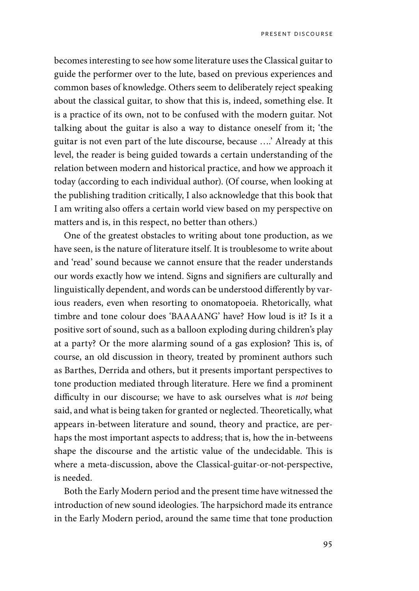becomes interesting to see how some literature uses the Classical guitar to guide the performer over to the lute, based on previous experiences and common bases of knowledge. Others seem to deliberately reject speaking about the classical guitar, to show that this is, indeed, something else. It is a practice of its own, not to be confused with the modern guitar. Not talking about the guitar is also a way to distance oneself from it; 'the guitar is not even part of the lute discourse, because ….' Already at this level, the reader is being guided towards a certain understanding of the relation between modern and historical practice, and how we approach it today (according to each individual author). (Of course, when looking at the publishing tradition critically, I also acknowledge that this book that I am writing also offers a certain world view based on my perspective on matters and is, in this respect, no better than others.)

One of the greatest obstacles to writing about tone production, as we have seen, is the nature of literature itself. It is troublesome to write about and 'read' sound because we cannot ensure that the reader understands our words exactly how we intend. Signs and signifiers are culturally and linguistically dependent, and words can be understood differently by various readers, even when resorting to onomatopoeia. Rhetorically, what timbre and tone colour does 'BAAAANG' have? How loud is it? Is it a positive sort of sound, such as a balloon exploding during children's play at a party? Or the more alarming sound of a gas explosion? This is, of course, an old discussion in theory, treated by prominent authors such as Barthes, Derrida and others, but it presents important perspectives to tone production mediated through literature. Here we find a prominent difficulty in our discourse; we have to ask ourselves what is *not* being said, and what is being taken for granted or neglected. Theoretically, what appears in-between literature and sound, theory and practice, are perhaps the most important aspects to address; that is, how the in-betweens shape the discourse and the artistic value of the undecidable. This is where a meta-discussion, above the Classical-guitar-or-not-perspective, is needed.

Both the Early Modern period and the present time have witnessed the introduction of new sound ideologies. The harpsichord made its entrance in the Early Modern period, around the same time that tone production